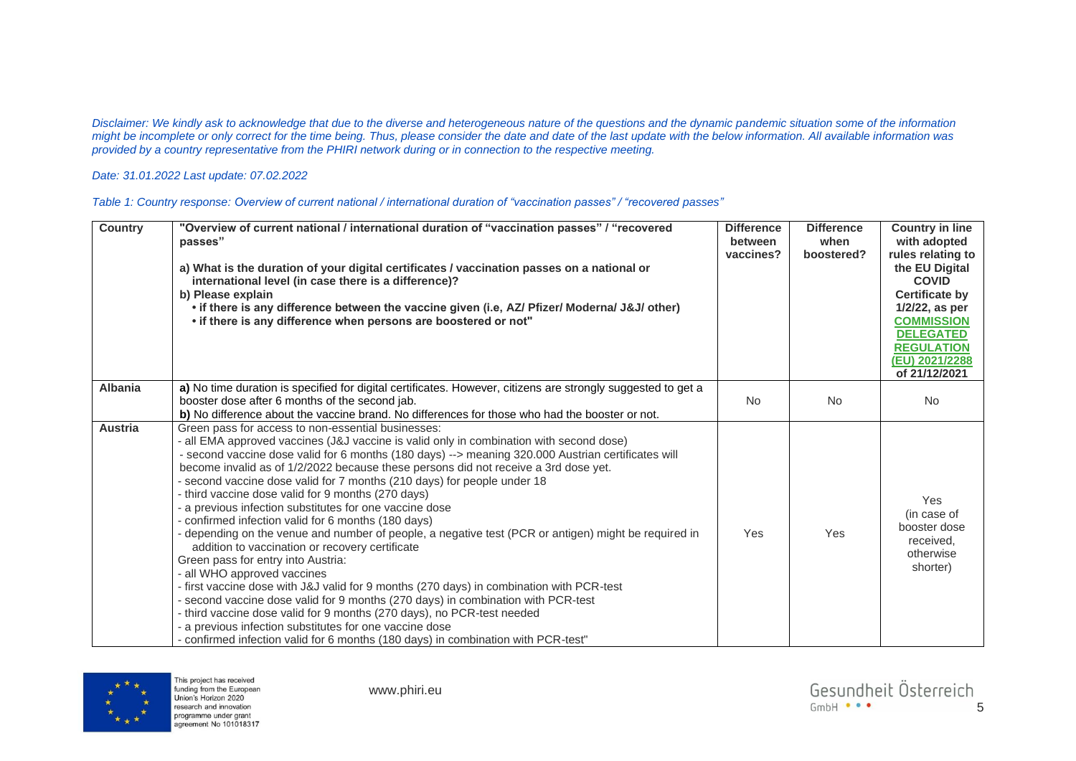*Disclaimer: We kindly ask to acknowledge that due to the diverse and heterogeneous nature of the questions and the dynamic pandemic situation some of the information might be incomplete or only correct for the time being. Thus, please consider the date and date of the last update with the below information. All available information was provided by a country representative from the PHIRI network during or in connection to the respective meeting.* 

## *Date: 31.01.2022 Last update: 07.02.2022*

| Table 1: Country response: Overview of current national / international duration of "vaccination passes" / "recovered passes" |  |  |
|-------------------------------------------------------------------------------------------------------------------------------|--|--|
|-------------------------------------------------------------------------------------------------------------------------------|--|--|

| <b>Country</b> | "Overview of current national / international duration of "vaccination passes" / "recovered<br>passes"<br>a) What is the duration of your digital certificates / vaccination passes on a national or<br>international level (in case there is a difference)?<br>b) Please explain<br>. if there is any difference between the vaccine given (i.e, AZ/ Pfizer/ Moderna/ J&J/ other)<br>• if there is any difference when persons are boostered or not"                                                                                                                                                                                                                                                                                                                                                                                                                                                                                                                                                                                                                                                                                                                                                                   | <b>Difference</b><br>between<br>vaccines? | <b>Difference</b><br>when<br>boostered? | <b>Country in line</b><br>with adopted<br>rules relating to<br>the EU Digital<br><b>COVID</b><br><b>Certificate by</b><br>1/2/22, as per<br><b>COMMISSION</b><br><b>DELEGATED</b><br><b>REGULATION</b><br>(EU) 2021/2288<br>of 21/12/2021 |
|----------------|-------------------------------------------------------------------------------------------------------------------------------------------------------------------------------------------------------------------------------------------------------------------------------------------------------------------------------------------------------------------------------------------------------------------------------------------------------------------------------------------------------------------------------------------------------------------------------------------------------------------------------------------------------------------------------------------------------------------------------------------------------------------------------------------------------------------------------------------------------------------------------------------------------------------------------------------------------------------------------------------------------------------------------------------------------------------------------------------------------------------------------------------------------------------------------------------------------------------------|-------------------------------------------|-----------------------------------------|-------------------------------------------------------------------------------------------------------------------------------------------------------------------------------------------------------------------------------------------|
| <b>Albania</b> | a) No time duration is specified for digital certificates. However, citizens are strongly suggested to get a<br>booster dose after 6 months of the second jab.<br>b) No difference about the vaccine brand. No differences for those who had the booster or not.                                                                                                                                                                                                                                                                                                                                                                                                                                                                                                                                                                                                                                                                                                                                                                                                                                                                                                                                                        | <b>No</b>                                 | <b>No</b>                               | <b>No</b>                                                                                                                                                                                                                                 |
| <b>Austria</b> | Green pass for access to non-essential businesses:<br>all EMA approved vaccines (J&J vaccine is valid only in combination with second dose)<br>- second vaccine dose valid for 6 months (180 days) --> meaning 320.000 Austrian certificates will<br>become invalid as of 1/2/2022 because these persons did not receive a 3rd dose yet.<br>second vaccine dose valid for 7 months (210 days) for people under 18<br>third vaccine dose valid for 9 months (270 days)<br>a previous infection substitutes for one vaccine dose<br>confirmed infection valid for 6 months (180 days)<br>depending on the venue and number of people, a negative test (PCR or antigen) might be required in<br>addition to vaccination or recovery certificate<br>Green pass for entry into Austria:<br>all WHO approved vaccines<br>- first vaccine dose with J&J valid for 9 months (270 days) in combination with PCR-test<br>- second vaccine dose valid for 9 months (270 days) in combination with PCR-test<br>- third vaccine dose valid for 9 months (270 days), no PCR-test needed<br>a previous infection substitutes for one vaccine dose<br>- confirmed infection valid for 6 months (180 days) in combination with PCR-test" | Yes                                       | Yes                                     | <b>Yes</b><br>(in case of<br>booster dose<br>received.<br>otherwise<br>shorter)                                                                                                                                                           |

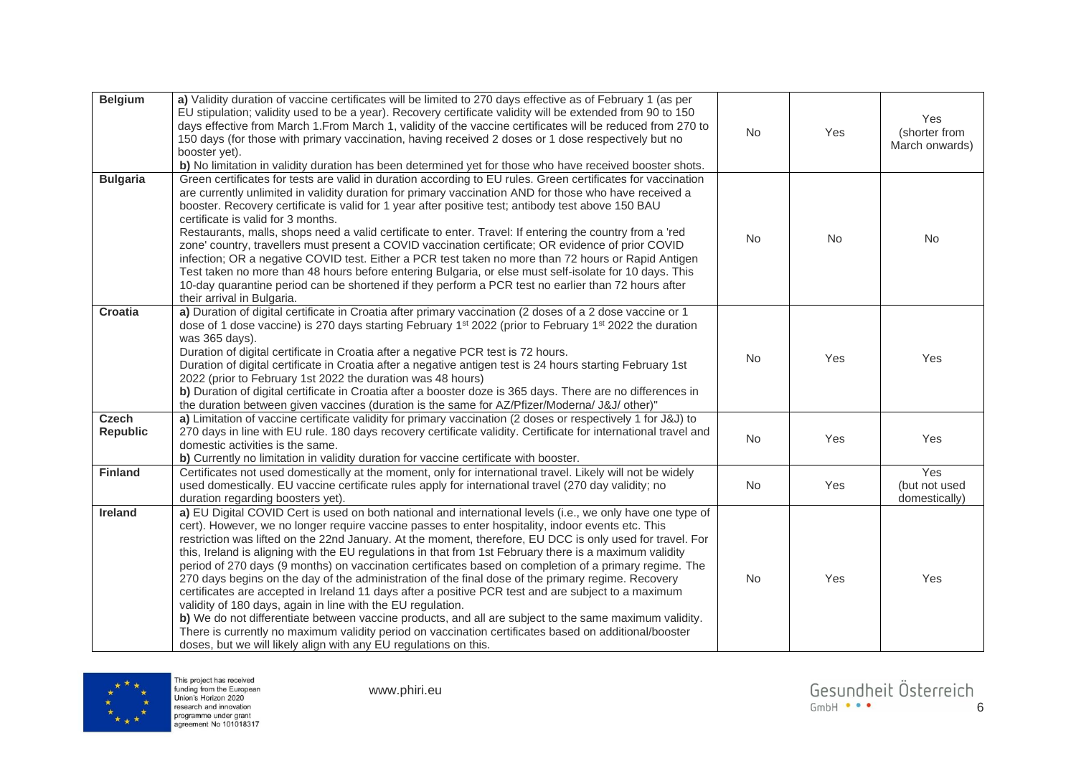| <b>Belgium</b>                  | a) Validity duration of vaccine certificates will be limited to 270 days effective as of February 1 (as per<br>EU stipulation; validity used to be a year). Recovery certificate validity will be extended from 90 to 150<br>days effective from March 1. From March 1, validity of the vaccine certificates will be reduced from 270 to<br>150 days (for those with primary vaccination, having received 2 doses or 1 dose respectively but no<br>booster yet).<br>b) No limitation in validity duration has been determined yet for those who have received booster shots.                                                                                                                                                                                                                                                                                                                                                                                                                                                                                                                                         | No        | Yes       | Yes<br>(shorter from<br>March onwards) |
|---------------------------------|----------------------------------------------------------------------------------------------------------------------------------------------------------------------------------------------------------------------------------------------------------------------------------------------------------------------------------------------------------------------------------------------------------------------------------------------------------------------------------------------------------------------------------------------------------------------------------------------------------------------------------------------------------------------------------------------------------------------------------------------------------------------------------------------------------------------------------------------------------------------------------------------------------------------------------------------------------------------------------------------------------------------------------------------------------------------------------------------------------------------|-----------|-----------|----------------------------------------|
| <b>Bulgaria</b>                 | Green certificates for tests are valid in duration according to EU rules. Green certificates for vaccination<br>are currently unlimited in validity duration for primary vaccination AND for those who have received a<br>booster. Recovery certificate is valid for 1 year after positive test; antibody test above 150 BAU<br>certificate is valid for 3 months.<br>Restaurants, malls, shops need a valid certificate to enter. Travel: If entering the country from a 'red<br>zone' country, travellers must present a COVID vaccination certificate; OR evidence of prior COVID<br>infection; OR a negative COVID test. Either a PCR test taken no more than 72 hours or Rapid Antigen<br>Test taken no more than 48 hours before entering Bulgaria, or else must self-isolate for 10 days. This<br>10-day quarantine period can be shortened if they perform a PCR test no earlier than 72 hours after<br>their arrival in Bulgaria.                                                                                                                                                                           | <b>No</b> | <b>No</b> | No                                     |
| <b>Croatia</b>                  | a) Duration of digital certificate in Croatia after primary vaccination (2 doses of a 2 dose vaccine or 1<br>dose of 1 dose vaccine) is 270 days starting February 1 <sup>st</sup> 2022 (prior to February 1 <sup>st</sup> 2022 the duration<br>was 365 days).<br>Duration of digital certificate in Croatia after a negative PCR test is 72 hours.<br>Duration of digital certificate in Croatia after a negative antigen test is 24 hours starting February 1st<br>2022 (prior to February 1st 2022 the duration was 48 hours)<br>b) Duration of digital certificate in Croatia after a booster doze is 365 days. There are no differences in<br>the duration between given vaccines (duration is the same for AZ/Pfizer/Moderna/ J&J/ other)"                                                                                                                                                                                                                                                                                                                                                                     | <b>No</b> | Yes       | Yes                                    |
| <b>Czech</b><br><b>Republic</b> | a) Limitation of vaccine certificate validity for primary vaccination (2 doses or respectively 1 for J&J) to<br>270 days in line with EU rule. 180 days recovery certificate validity. Certificate for international travel and<br>domestic activities is the same.<br>b) Currently no limitation in validity duration for vaccine certificate with booster.                                                                                                                                                                                                                                                                                                                                                                                                                                                                                                                                                                                                                                                                                                                                                         | No        | Yes       | Yes                                    |
| <b>Finland</b>                  | Certificates not used domestically at the moment, only for international travel. Likely will not be widely<br>used domestically. EU vaccine certificate rules apply for international travel (270 day validity; no<br>duration regarding boosters yet).                                                                                                                                                                                                                                                                                                                                                                                                                                                                                                                                                                                                                                                                                                                                                                                                                                                              | No        | Yes       | Yes<br>(but not used<br>domestically)  |
| <b>Ireland</b>                  | a) EU Digital COVID Cert is used on both national and international levels (i.e., we only have one type of<br>cert). However, we no longer require vaccine passes to enter hospitality, indoor events etc. This<br>restriction was lifted on the 22nd January. At the moment, therefore, EU DCC is only used for travel. For<br>this, Ireland is aligning with the EU regulations in that from 1st February there is a maximum validity<br>period of 270 days (9 months) on vaccination certificates based on completion of a primary regime. The<br>270 days begins on the day of the administration of the final dose of the primary regime. Recovery<br>certificates are accepted in Ireland 11 days after a positive PCR test and are subject to a maximum<br>validity of 180 days, again in line with the EU regulation.<br>b) We do not differentiate between vaccine products, and all are subject to the same maximum validity.<br>There is currently no maximum validity period on vaccination certificates based on additional/booster<br>doses, but we will likely align with any EU regulations on this. | No        | Yes       | Yes                                    |

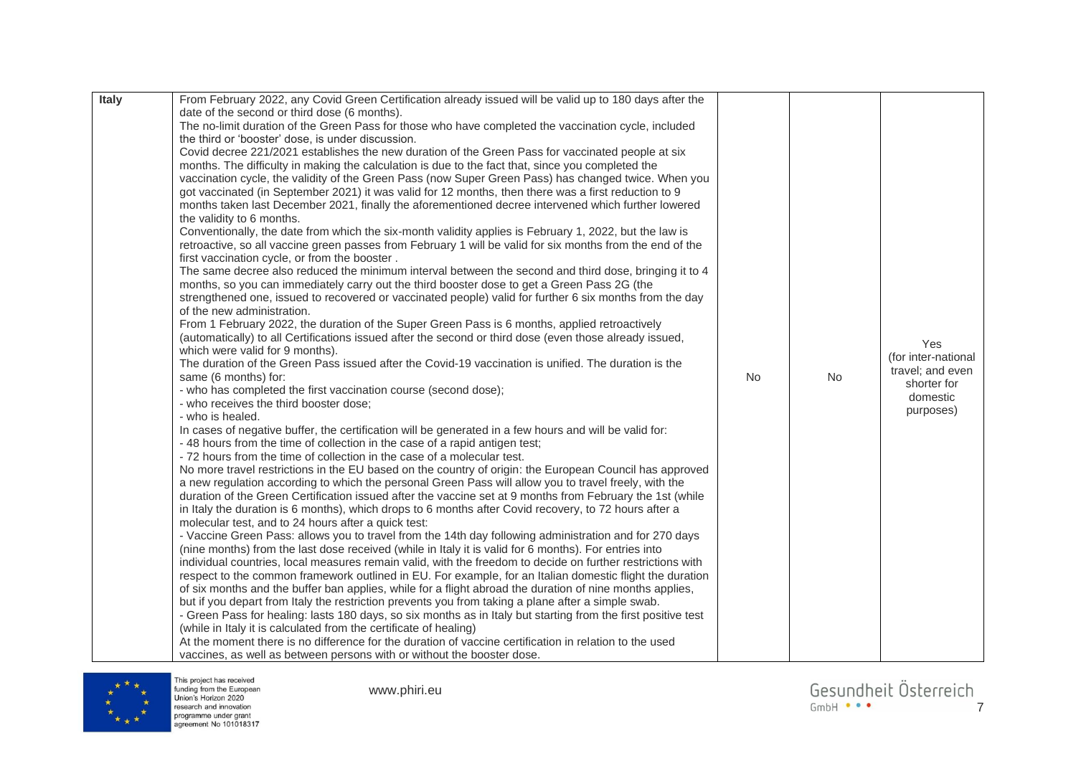| Italy | From February 2022, any Covid Green Certification already issued will be valid up to 180 days after the<br>date of the second or third dose (6 months).<br>The no-limit duration of the Green Pass for those who have completed the vaccination cycle, included<br>the third or 'booster' dose, is under discussion.<br>Covid decree 221/2021 establishes the new duration of the Green Pass for vaccinated people at six<br>months. The difficulty in making the calculation is due to the fact that, since you completed the<br>vaccination cycle, the validity of the Green Pass (now Super Green Pass) has changed twice. When you<br>got vaccinated (in September 2021) it was valid for 12 months, then there was a first reduction to 9<br>months taken last December 2021, finally the aforementioned decree intervened which further lowered<br>the validity to 6 months.<br>Conventionally, the date from which the six-month validity applies is February 1, 2022, but the law is<br>retroactive, so all vaccine green passes from February 1 will be valid for six months from the end of the<br>first vaccination cycle, or from the booster.<br>The same decree also reduced the minimum interval between the second and third dose, bringing it to 4<br>months, so you can immediately carry out the third booster dose to get a Green Pass 2G (the<br>strengthened one, issued to recovered or vaccinated people) valid for further 6 six months from the day<br>of the new administration.<br>From 1 February 2022, the duration of the Super Green Pass is 6 months, applied retroactively<br>(automatically) to all Certifications issued after the second or third dose (even those already issued,<br>which were valid for 9 months).<br>The duration of the Green Pass issued after the Covid-19 vaccination is unified. The duration is the<br>same (6 months) for:<br>- who has completed the first vaccination course (second dose);<br>- who receives the third booster dose;<br>- who is healed.<br>In cases of negative buffer, the certification will be generated in a few hours and will be valid for:<br>- 48 hours from the time of collection in the case of a rapid antigen test;<br>-72 hours from the time of collection in the case of a molecular test.<br>No more travel restrictions in the EU based on the country of origin: the European Council has approved<br>a new regulation according to which the personal Green Pass will allow you to travel freely, with the<br>duration of the Green Certification issued after the vaccine set at 9 months from February the 1st (while<br>in Italy the duration is 6 months), which drops to 6 months after Covid recovery, to 72 hours after a<br>molecular test, and to 24 hours after a quick test:<br>- Vaccine Green Pass: allows you to travel from the 14th day following administration and for 270 days<br>(nine months) from the last dose received (while in Italy it is valid for 6 months). For entries into<br>individual countries, local measures remain valid, with the freedom to decide on further restrictions with<br>respect to the common framework outlined in EU. For example, for an Italian domestic flight the duration<br>of six months and the buffer ban applies, while for a flight abroad the duration of nine months applies,<br>but if you depart from Italy the restriction prevents you from taking a plane after a simple swab.<br>- Green Pass for healing: lasts 180 days, so six months as in Italy but starting from the first positive test<br>(while in Italy it is calculated from the certificate of healing)<br>At the moment there is no difference for the duration of vaccine certification in relation to the used<br>vaccines, as well as between persons with or without the booster dose. | No | No | Yes<br>(for inter-national<br>travel: and even<br>shorter for<br>domestic<br>purposes) |
|-------|------------------------------------------------------------------------------------------------------------------------------------------------------------------------------------------------------------------------------------------------------------------------------------------------------------------------------------------------------------------------------------------------------------------------------------------------------------------------------------------------------------------------------------------------------------------------------------------------------------------------------------------------------------------------------------------------------------------------------------------------------------------------------------------------------------------------------------------------------------------------------------------------------------------------------------------------------------------------------------------------------------------------------------------------------------------------------------------------------------------------------------------------------------------------------------------------------------------------------------------------------------------------------------------------------------------------------------------------------------------------------------------------------------------------------------------------------------------------------------------------------------------------------------------------------------------------------------------------------------------------------------------------------------------------------------------------------------------------------------------------------------------------------------------------------------------------------------------------------------------------------------------------------------------------------------------------------------------------------------------------------------------------------------------------------------------------------------------------------------------------------------------------------------------------------------------------------------------------------------------------------------------------------------------------------------------------------------------------------------------------------------------------------------------------------------------------------------------------------------------------------------------------------------------------------------------------------------------------------------------------------------------------------------------------------------------------------------------------------------------------------------------------------------------------------------------------------------------------------------------------------------------------------------------------------------------------------------------------------------------------------------------------------------------------------------------------------------------------------------------------------------------------------------------------------------------------------------------------------------------------------------------------------------------------------------------------------------------------------------------------------------------------------------------------------------------------------------------------------------------------------------------------------------------------------------------------------------------------------------------------------------------------------------------------------------------------------------------------------------------------------------------------------------------------------------------------------------------|----|----|----------------------------------------------------------------------------------------|
|-------|------------------------------------------------------------------------------------------------------------------------------------------------------------------------------------------------------------------------------------------------------------------------------------------------------------------------------------------------------------------------------------------------------------------------------------------------------------------------------------------------------------------------------------------------------------------------------------------------------------------------------------------------------------------------------------------------------------------------------------------------------------------------------------------------------------------------------------------------------------------------------------------------------------------------------------------------------------------------------------------------------------------------------------------------------------------------------------------------------------------------------------------------------------------------------------------------------------------------------------------------------------------------------------------------------------------------------------------------------------------------------------------------------------------------------------------------------------------------------------------------------------------------------------------------------------------------------------------------------------------------------------------------------------------------------------------------------------------------------------------------------------------------------------------------------------------------------------------------------------------------------------------------------------------------------------------------------------------------------------------------------------------------------------------------------------------------------------------------------------------------------------------------------------------------------------------------------------------------------------------------------------------------------------------------------------------------------------------------------------------------------------------------------------------------------------------------------------------------------------------------------------------------------------------------------------------------------------------------------------------------------------------------------------------------------------------------------------------------------------------------------------------------------------------------------------------------------------------------------------------------------------------------------------------------------------------------------------------------------------------------------------------------------------------------------------------------------------------------------------------------------------------------------------------------------------------------------------------------------------------------------------------------------------------------------------------------------------------------------------------------------------------------------------------------------------------------------------------------------------------------------------------------------------------------------------------------------------------------------------------------------------------------------------------------------------------------------------------------------------------------------------------------------------------------------------------------------------------|----|----|----------------------------------------------------------------------------------------|



www.phiri.eu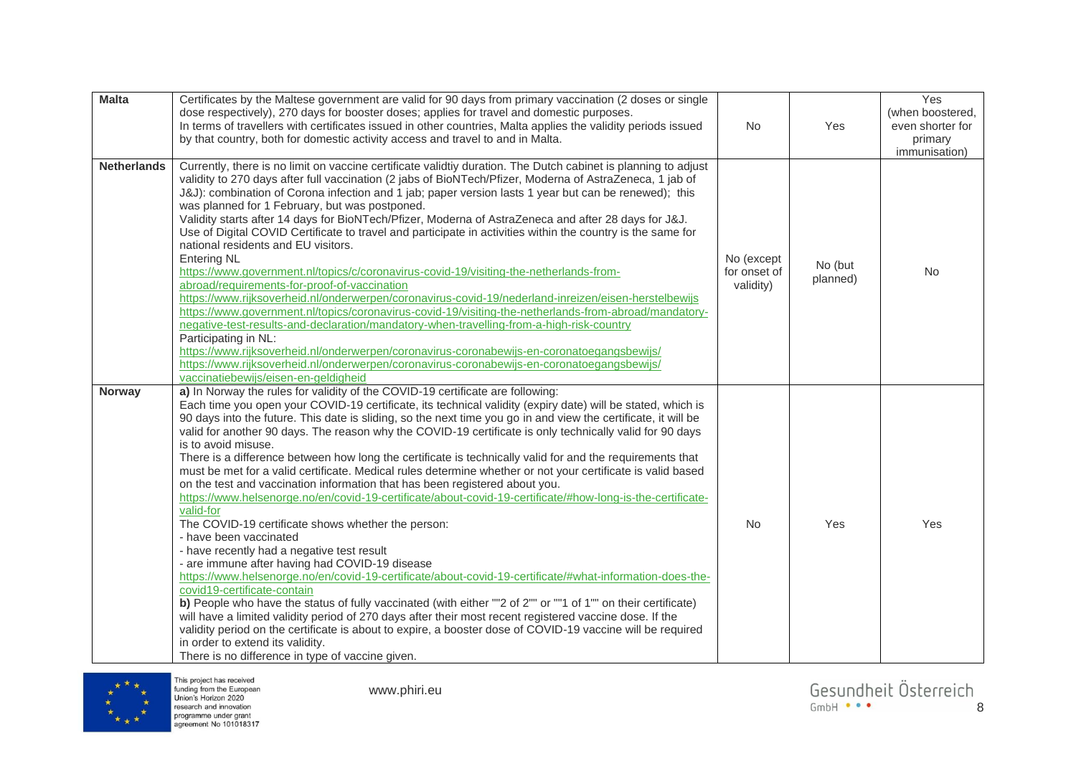| <b>Malta</b>       | Certificates by the Maltese government are valid for 90 days from primary vaccination (2 doses or single<br>dose respectively), 270 days for booster doses; applies for travel and domestic purposes.<br>In terms of travellers with certificates issued in other countries, Malta applies the validity periods issued<br>by that country, both for domestic activity access and travel to and in Malta.                                                                                                                                                                                                                                                                                                                                                                                                                                                                                                                                                                                                                                                                                                                                                                                                                                                                                                                                                                                                                                                                                                                                                                                                                                              | No                                      | Yes                 | Yes<br>(when boostered,<br>even shorter for<br>primary<br>immunisation) |
|--------------------|-------------------------------------------------------------------------------------------------------------------------------------------------------------------------------------------------------------------------------------------------------------------------------------------------------------------------------------------------------------------------------------------------------------------------------------------------------------------------------------------------------------------------------------------------------------------------------------------------------------------------------------------------------------------------------------------------------------------------------------------------------------------------------------------------------------------------------------------------------------------------------------------------------------------------------------------------------------------------------------------------------------------------------------------------------------------------------------------------------------------------------------------------------------------------------------------------------------------------------------------------------------------------------------------------------------------------------------------------------------------------------------------------------------------------------------------------------------------------------------------------------------------------------------------------------------------------------------------------------------------------------------------------------|-----------------------------------------|---------------------|-------------------------------------------------------------------------|
| <b>Netherlands</b> | Currently, there is no limit on vaccine certificate validtiy duration. The Dutch cabinet is planning to adjust<br>validity to 270 days after full vaccination (2 jabs of BioNTech/Pfizer, Moderna of AstraZeneca, 1 jab of<br>J&J): combination of Corona infection and 1 jab; paper version lasts 1 year but can be renewed); this<br>was planned for 1 February, but was postponed.<br>Validity starts after 14 days for BioNTech/Pfizer, Moderna of AstraZeneca and after 28 days for J&J.<br>Use of Digital COVID Certificate to travel and participate in activities within the country is the same for<br>national residents and EU visitors.<br><b>Entering NL</b><br>https://www.government.nl/topics/c/coronavirus-covid-19/visiting-the-netherlands-from-<br>abroad/requirements-for-proof-of-vaccination<br>https://www.rijksoverheid.nl/onderwerpen/coronavirus-covid-19/nederland-inreizen/eisen-herstelbewijs<br>https://www.government.nl/topics/coronavirus-covid-19/visiting-the-netherlands-from-abroad/mandatory-<br>negative-test-results-and-declaration/mandatory-when-travelling-from-a-high-risk-country<br>Participating in NL:<br>https://www.rijksoverheid.nl/onderwerpen/coronavirus-coronabewijs-en-coronatoegangsbewijs/<br>https://www.rijksoverheid.nl/onderwerpen/coronavirus-coronabewijs-en-coronatoegangsbewijs/<br>vaccinatiebewijs/eisen-en-geldigheid                                                                                                                                                                                                                                                          | No (except<br>for onset of<br>validity) | No (but<br>planned) | <b>No</b>                                                               |
| <b>Norway</b>      | a) In Norway the rules for validity of the COVID-19 certificate are following:<br>Each time you open your COVID-19 certificate, its technical validity (expiry date) will be stated, which is<br>90 days into the future. This date is sliding, so the next time you go in and view the certificate, it will be<br>valid for another 90 days. The reason why the COVID-19 certificate is only technically valid for 90 days<br>is to avoid misuse.<br>There is a difference between how long the certificate is technically valid for and the requirements that<br>must be met for a valid certificate. Medical rules determine whether or not your certificate is valid based<br>on the test and vaccination information that has been registered about you.<br>https://www.helsenorge.no/en/covid-19-certificate/about-covid-19-certificate/#how-long-is-the-certificate-<br>valid-for<br>The COVID-19 certificate shows whether the person:<br>- have been vaccinated<br>- have recently had a negative test result<br>- are immune after having had COVID-19 disease<br>https://www.helsenorge.no/en/covid-19-certificate/about-covid-19-certificate/#what-information-does-the-<br>covid19-certificate-contain<br>b) People who have the status of fully vaccinated (with either ""2 of 2"" or ""1 of 1"" on their certificate)<br>will have a limited validity period of 270 days after their most recent registered vaccine dose. If the<br>validity period on the certificate is about to expire, a booster dose of COVID-19 vaccine will be required<br>in order to extend its validity.<br>There is no difference in type of vaccine given. | No                                      | Yes                 | Yes                                                                     |

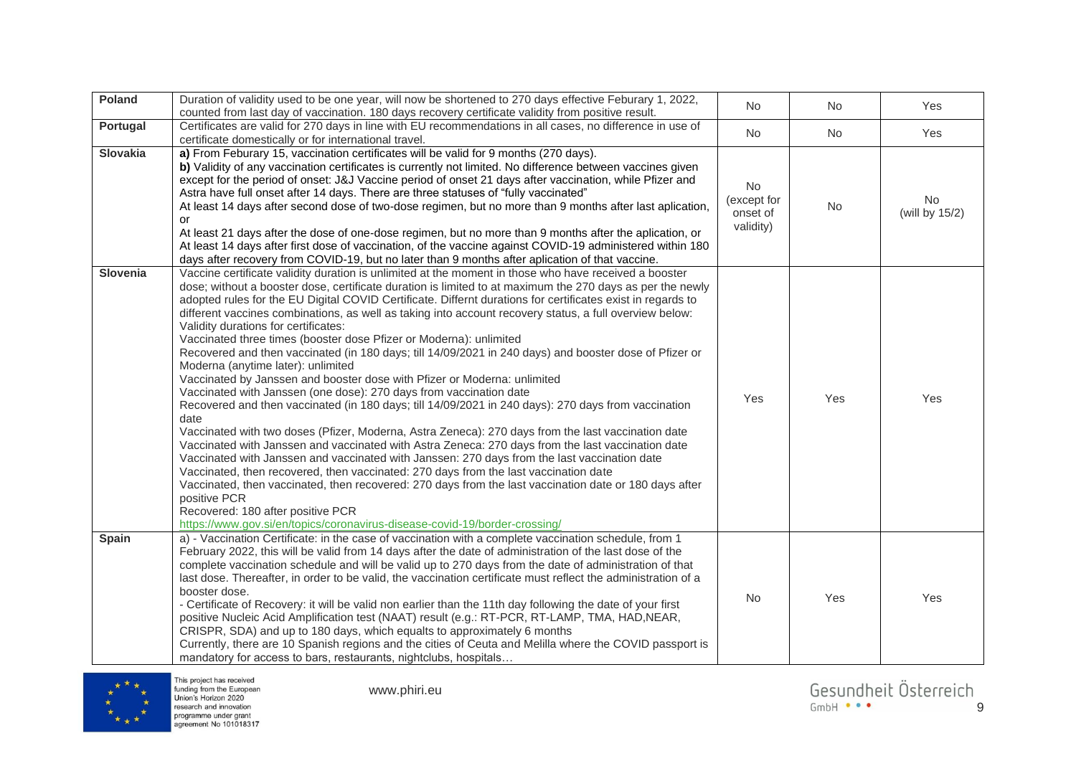| Poland          | Duration of validity used to be one year, will now be shortened to 270 days effective Feburary 1, 2022,<br>counted from last day of vaccination. 180 days recovery certificate validity from positive result.                                                                                                                                                                                                                                                                                                                                                                                                                                                                                                                                                                                                                                                                                                                                                                                                                                                                                                                                                                                                                                                                                                                                                                                                                                                                                                                                                                                                               | No                                         | No  | Yes                  |
|-----------------|-----------------------------------------------------------------------------------------------------------------------------------------------------------------------------------------------------------------------------------------------------------------------------------------------------------------------------------------------------------------------------------------------------------------------------------------------------------------------------------------------------------------------------------------------------------------------------------------------------------------------------------------------------------------------------------------------------------------------------------------------------------------------------------------------------------------------------------------------------------------------------------------------------------------------------------------------------------------------------------------------------------------------------------------------------------------------------------------------------------------------------------------------------------------------------------------------------------------------------------------------------------------------------------------------------------------------------------------------------------------------------------------------------------------------------------------------------------------------------------------------------------------------------------------------------------------------------------------------------------------------------|--------------------------------------------|-----|----------------------|
| Portugal        | Certificates are valid for 270 days in line with EU recommendations in all cases, no difference in use of<br>certificate domestically or for international travel.                                                                                                                                                                                                                                                                                                                                                                                                                                                                                                                                                                                                                                                                                                                                                                                                                                                                                                                                                                                                                                                                                                                                                                                                                                                                                                                                                                                                                                                          | No                                         | No  | Yes                  |
| <b>Slovakia</b> | a) From Feburary 15, vaccination certificates will be valid for 9 months (270 days).<br>b) Validity of any vaccination certificates is currently not limited. No difference between vaccines given<br>except for the period of onset: J&J Vaccine period of onset 21 days after vaccination, while Pfizer and<br>Astra have full onset after 14 days. There are three statuses of "fully vaccinated"<br>At least 14 days after second dose of two-dose regimen, but no more than 9 months after last aplication,<br>or<br>At least 21 days after the dose of one-dose regimen, but no more than 9 months after the aplication, or<br>At least 14 days after first dose of vaccination, of the vaccine against COVID-19 administered within 180<br>days after recovery from COVID-19, but no later than 9 months after aplication of that vaccine.                                                                                                                                                                                                                                                                                                                                                                                                                                                                                                                                                                                                                                                                                                                                                                           | No<br>(except for<br>onset of<br>validity) | No  | No<br>(will by 15/2) |
| Slovenia        | Vaccine certificate validity duration is unlimited at the moment in those who have received a booster<br>dose; without a booster dose, certificate duration is limited to at maximum the 270 days as per the newly<br>adopted rules for the EU Digital COVID Certificate. Differnt durations for certificates exist in regards to<br>different vaccines combinations, as well as taking into account recovery status, a full overview below:<br>Validity durations for certificates:<br>Vaccinated three times (booster dose Pfizer or Moderna): unlimited<br>Recovered and then vaccinated (in 180 days; till 14/09/2021 in 240 days) and booster dose of Pfizer or<br>Moderna (anytime later): unlimited<br>Vaccinated by Janssen and booster dose with Pfizer or Moderna: unlimited<br>Vaccinated with Janssen (one dose): 270 days from vaccination date<br>Recovered and then vaccinated (in 180 days; till 14/09/2021 in 240 days): 270 days from vaccination<br>date<br>Vaccinated with two doses (Pfizer, Moderna, Astra Zeneca): 270 days from the last vaccination date<br>Vaccinated with Janssen and vaccinated with Astra Zeneca: 270 days from the last vaccination date<br>Vaccinated with Janssen and vaccinated with Janssen: 270 days from the last vaccination date<br>Vaccinated, then recovered, then vaccinated: 270 days from the last vaccination date<br>Vaccinated, then vaccinated, then recovered: 270 days from the last vaccination date or 180 days after<br>positive PCR<br>Recovered: 180 after positive PCR<br>https://www.gov.si/en/topics/coronavirus-disease-covid-19/border-crossing/ | Yes                                        | Yes | Yes                  |
| Spain           | a) - Vaccination Certificate: in the case of vaccination with a complete vaccination schedule, from 1<br>February 2022, this will be valid from 14 days after the date of administration of the last dose of the<br>complete vaccination schedule and will be valid up to 270 days from the date of administration of that<br>last dose. Thereafter, in order to be valid, the vaccination certificate must reflect the administration of a<br>booster dose.<br>- Certificate of Recovery: it will be valid non earlier than the 11th day following the date of your first<br>positive Nucleic Acid Amplification test (NAAT) result (e.g.: RT-PCR, RT-LAMP, TMA, HAD, NEAR,<br>CRISPR, SDA) and up to 180 days, which equalts to approximately 6 months<br>Currently, there are 10 Spanish regions and the cities of Ceuta and Melilla where the COVID passport is<br>mandatory for access to bars, restaurants, nightclubs, hospitals                                                                                                                                                                                                                                                                                                                                                                                                                                                                                                                                                                                                                                                                                     | No                                         | Yes | Yes                  |



www.phiri.eu